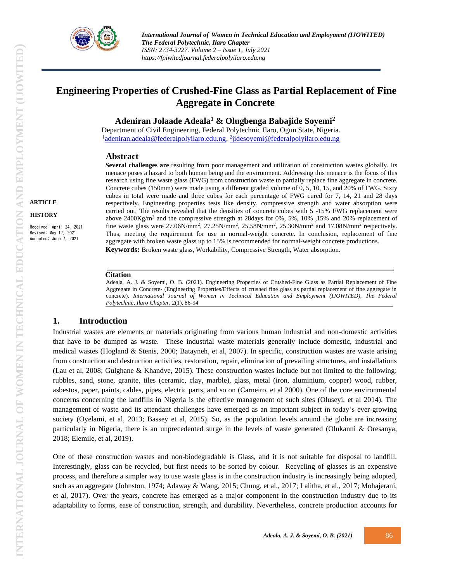

# **Engineering Properties of Crushed-Fine Glass as Partial Replacement of Fine Aggregate in Concrete**

**Adeniran Jolaade Adeala<sup>1</sup> & Olugbenga Babajide Soyemi<sup>2</sup>**

Department of Civil Engineering, Federal Polytechnic Ilaro, Ogun State, Nigeria. <sup>1</sup>[adeniran.adeala@federalpolyilaro.edu.ng,](mailto:adeniran.adeala@federalpolyilaro.edu.ng) <sup>2</sup>[jidesoyemi@federalpolyilaro.edu.ng](mailto:2jidesoyemi@federalpolyilaro.edu.ng)

## **Abstract**

**Several challenges are** resulting from poor management and utilization of construction wastes globally. Its menace poses a hazard to both human being and the environment. Addressing this menace is the focus of this research using fine waste glass (FWG) from construction waste to partially replace fine aggregate in concrete. Concrete cubes (150mm) were made using a different graded volume of 0, 5, 10, 15, and 20% of FWG. Sixty cubes in total were made and three cubes for each percentage of FWG cured for 7, 14, 21 and 28 days respectively. Engineering properties tests like density, compressive strength and water absorption were carried out. The results revealed that the densities of concrete cubes with 5 -15% FWG replacement were above  $2400 \text{Kg/m}^3$  and the compressive strength at 28days for 0%, 5%, 10% ,15% and 20% replacement of fine waste glass were  $27.06$ N/mm<sup>2</sup>,  $27.25$ N/mm<sup>2</sup>,  $25.58$ N/mm<sup>2</sup>,  $25.30$ N/mm<sup>2</sup> and  $17.08$ N/mm<sup>2</sup> respectively. Thus, meeting the requirement for use in normal-weight concrete. In conclusion, replacement of fine aggregate with broken waste glass up to 15% is recommended for normal-weight concrete productions. **Keywords:** Broken waste glass, Workability, Compressive Strength, Water absorption*.*

#### **Citation**

Adeala, A. J. & Soyemi, O. B. (2021). Engineering Properties of Crushed-Fine Glass as Partial Replacement of Fine Aggregate in Concrete- (Engineering Properties/Effects of crushed fine glass as partial replacement of fine aggregate in concrete). *International Journal of Women in Technical Education and Employment (IJOWITED)*, The Federal *Polytechnic, Ilaro Chapter*, 2(1), 86-94

## **1. Introduction**

Industrial wastes are elements or materials originating from various human industrial and non-domestic activities that have to be dumped as waste. These industrial waste materials generally include domestic, industrial and medical wastes (Hogland & Stenis, 2000; Batayneh, et al, 2007). In specific, construction wastes are waste arising from construction and destruction activities, restoration, repair, elimination of prevailing structures, and installations (Lau et al, 2008; Gulghane & Khandve, 2015). These construction wastes include but not limited to the following: rubbles, sand, stone, granite, tiles (ceramic, clay, marble), glass, metal (iron, aluminium, copper) wood, rubber, asbestos, paper, paints, cables, pipes, electric parts, and so on (Carneiro, et al 2000). One of the core environmental concerns concerning the landfills in Nigeria is the effective management of such sites (Oluseyi, et al 2014). The management of waste and its attendant challenges have emerged as an important subject in today's ever-growing society (Oyelami, et al, 2013; Bassey et al, 2015). So, as the population levels around the globe are increasing particularly in Nigeria, there is an unprecedented surge in the levels of waste generated (Olukanni & Oresanya, 2018; Elemile, et al, 2019).

One of these construction wastes and non-biodegradable is Glass, and it is not suitable for disposal to landfill. Interestingly, glass can be recycled, but first needs to be sorted by colour. Recycling of glasses is an expensive process, and therefore a simpler way to use waste glass is in the construction industry is increasingly being adopted, such as an aggregate (Johnston, 1974; Adaway & Wang, 2015; Chung, et al., 2017; Lalitha, et al., 2017; Mohajerani, et al, 2017). Over the years, concrete has emerged as a major component in the construction industry due to its adaptability to forms, ease of construction, strength, and durability. Nevertheless, concrete production accounts for

Received: April 24, 2021 Revised: May 17, 2021 Accepted: June 7, 2021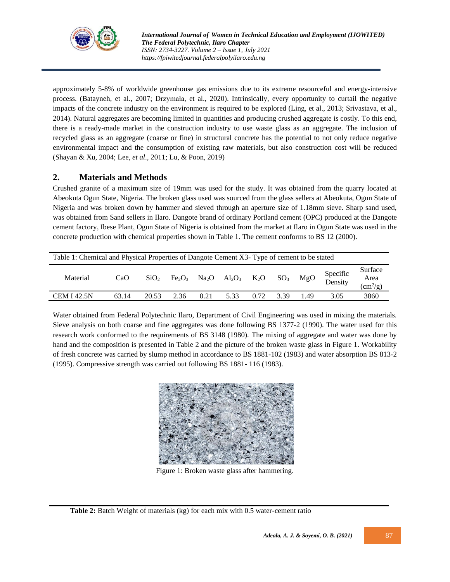

approximately 5-8% of worldwide greenhouse gas emissions due to its extreme resourceful and energy-intensive process. (Batayneh, et al., 2007; Drzymała, et al., 2020). Intrinsically, every opportunity to curtail the negative impacts of the concrete industry on the environment is required to be explored (Ling, et al., 2013; Srivastava, et al., 2014). Natural aggregates are becoming limited in quantities and producing crushed aggregate is costly. To this end, there is a ready-made market in the construction industry to use waste glass as an aggregate. The inclusion of recycled glass as an aggregate (coarse or fine) in structural concrete has the potential to not only reduce negative environmental impact and the consumption of existing raw materials, but also construction cost will be reduced (Shayan & Xu, 2004; Lee, *et al*., 2011; Lu, & Poon, 2019)

## **2. Materials and Methods**

Crushed granite of a maximum size of 19mm was used for the study. It was obtained from the quarry located at Abeokuta Ogun State, Nigeria. The broken glass used was sourced from the glass sellers at Abeokuta, Ogun State of Nigeria and was broken down by hammer and sieved through an aperture size of 1.18mm sieve. Sharp sand used, was obtained from Sand sellers in Ilaro. Dangote brand of ordinary Portland cement (OPC) produced at the Dangote cement factory, Ibese Plant, Ogun State of Nigeria is obtained from the market at Ilaro in Ogun State was used in the concrete production with chemical properties shown in Table 1. The cement conforms to BS 12 (2000).

| Table 1: Chemical and Physical Properties of Dangote Cement X3- Type of cement to be stated |       |                  |                                |      |                      |      |                 |      |                     |                                             |
|---------------------------------------------------------------------------------------------|-------|------------------|--------------------------------|------|----------------------|------|-----------------|------|---------------------|---------------------------------------------|
| Material                                                                                    | CaO   | SiO <sub>2</sub> | Fe <sub>2</sub> O <sub>3</sub> |      | $Na2O$ $Al2O3$ $K2O$ |      | SO <sub>3</sub> | MgO  | Specific<br>Density | Surface<br>Area<br>$\text{cm}^2/\text{g}$ ) |
| <b>CEM I 42.5N</b>                                                                          | 63.14 | 20.53            | 2.36                           | 0.21 | 5.33                 | 0.72 | 3.39            | 1.49 | 3.05                | 3860                                        |

Water obtained from Federal Polytechnic Ilaro, Department of Civil Engineering was used in mixing the materials. Sieve analysis on both coarse and fine aggregates was done following BS 1377-2 (1990). The water used for this research work conformed to the requirements of BS 3148 (1980). The mixing of aggregate and water was done by hand and the composition is presented in Table 2 and the picture of the broken waste glass in Figure 1. Workability of fresh concrete was carried by slump method in accordance to BS 1881-102 (1983) and water absorption BS 813-2 (1995). Compressive strength was carried out following BS 1881- 116 (1983).



Figure 1: Broken waste glass after hammering.

**Table 2:** Batch Weight of materials (kg) for each mix with 0.5 water-cement ratio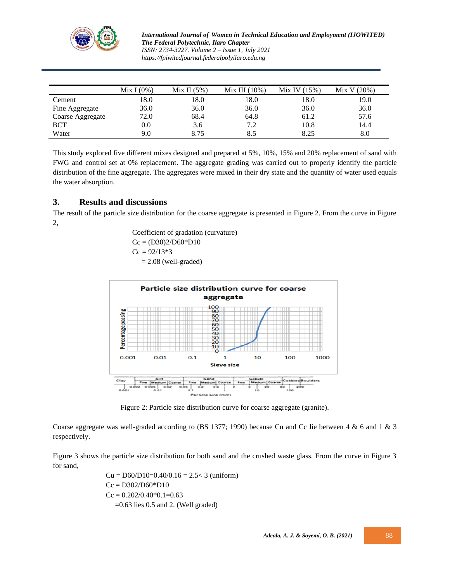

*International Journal of Women in Technical Education and Employment (IJOWITED) The Federal Polytechnic, Ilaro Chapter ISSN: 2734-3227. Volume 2 – Issue 1, July 2021 https://fpiwitedjournal.federalpolyilaro.edu.ng*

|                  | Mix $I(0\%)$ | Mix II $(5%)$ | Mix III $(10\%)$ | Mix IV $(15%)$ | Mix V (20%) |
|------------------|--------------|---------------|------------------|----------------|-------------|
| Cement           | 18.0         | 18.0          | 18.0             | 18.0           | 19.0        |
| Fine Aggregate   | 36.0         | 36.0          | 36.0             | 36.0           | 36.0        |
| Coarse Aggregate | 72.0         | 68.4          | 64.8             | 61.2           | 57.6        |
| <b>BCT</b>       | $0.0\,$      | 3.6           | 7.2              | 10.8           | 14.4        |
| Water            | 9.0          | 8.75          | 8.5              | 8.25           | 8.0         |

This study explored five different mixes designed and prepared at 5%, 10%, 15% and 20% replacement of sand with FWG and control set at 0% replacement. The aggregate grading was carried out to properly identify the particle distribution of the fine aggregate. The aggregates were mixed in their dry state and the quantity of water used equals the water absorption.

## **3. Results and discussions**

The result of the particle size distribution for the coarse aggregate is presented in Figure 2. From the curve in Figure 2,

> Coefficient of gradation (curvature)  $Cc = (D30)2/D60*D10$  $Cc = 92/13*3$  $= 2.08$  (well-graded)



Figure 2: Particle size distribution curve for coarse aggregate (granite).

Coarse aggregate was well-graded according to (BS 1377; 1990) because Cu and Cc lie between 4 & 6 and 1 & 3 respectively.

Figure 3 shows the particle size distribution for both sand and the crushed waste glass. From the curve in Figure 3 for sand,

> $Cu = D60/D10=0.40/0.16 = 2.5 < 3$  (uniform)  $Cc = D302/D60*D10$  $Cc = 0.202/0.40*0.1=0.63$  $=0.63$  lies 0.5 and 2. (Well graded)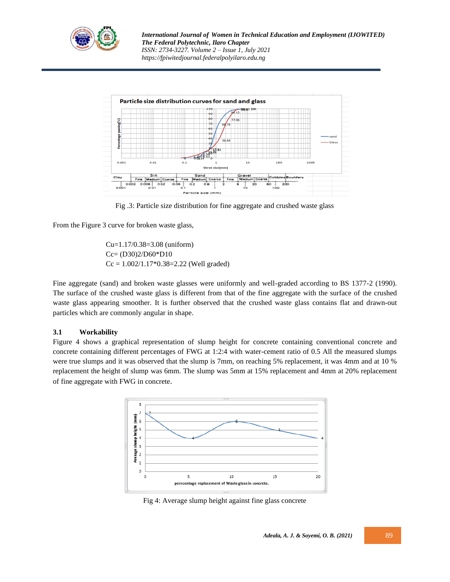

*International Journal of Women in Technical Education and Employment (IJOWITED) The Federal Polytechnic, Ilaro Chapter ISSN: 2734-3227. Volume 2 – Issue 1, July 2021 https://fpiwitedjournal.federalpolyilaro.edu.ng*



Fig .3: Particle size distribution for fine aggregate and crushed waste glass

From the Figure 3 curve for broken waste glass,

Cu=1.17/0.38=3.08 (uniform) Cc= (D30)2/D60\*D10  $Cc = 1.002/1.17*0.38=2.22$  (Well graded)

Fine aggregate (sand) and broken waste glasses were uniformly and well-graded according to BS 1377-2 (1990). The surface of the crushed waste glass is different from that of the fine aggregate with the surface of the crushed waste glass appearing smoother. It is further observed that the crushed waste glass contains flat and drawn-out particles which are commonly angular in shape.

#### **3.1 Workability**

Figure 4 shows a graphical representation of slump height for concrete containing conventional concrete and concrete containing different percentages of FWG at 1:2:4 with water-cement ratio of 0.5 All the measured slumps were true slumps and it was observed that the slump is 7mm, on reaching 5% replacement, it was 4mm and at 10 % replacement the height of slump was 6mm. The slump was 5mm at 15% replacement and 4mm at 20% replacement of fine aggregate with FWG in concrete.



Fig 4: Average slump height against fine glass concrete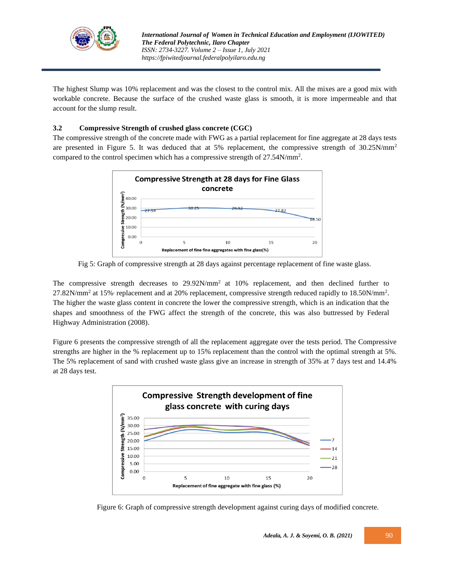

The highest Slump was 10% replacement and was the closest to the control mix. All the mixes are a good mix with workable concrete. Because the surface of the crushed waste glass is smooth, it is more impermeable and that account for the slump result.

## **3.2 Compressive Strength of crushed glass concrete (CGC)**

The compressive strength of the concrete made with FWG as a partial replacement for fine aggregate at 28 days tests are presented in Figure 5. It was deduced that at 5% replacement, the compressive strength of 30.25N/mm<sup>2</sup> compared to the control specimen which has a compressive strength of 27.54N/mm<sup>2</sup> .



Fig 5: Graph of compressive strength at 28 days against percentage replacement of fine waste glass.

The compressive strength decreases to  $29.92N/mm^2$  at 10% replacement, and then declined further to  $27.82$ N/mm<sup>2</sup> at 15% replacement and at 20% replacement, compressive strength reduced rapidly to 18.50N/mm<sup>2</sup>. The higher the waste glass content in concrete the lower the compressive strength, which is an indication that the shapes and smoothness of the FWG affect the strength of the concrete, this was also buttressed by Federal Highway Administration (2008).

Figure 6 presents the compressive strength of all the replacement aggregate over the tests period. The Compressive strengths are higher in the % replacement up to 15% replacement than the control with the optimal strength at 5%. The 5% replacement of sand with crushed waste glass give an increase in strength of 35% at 7 days test and 14.4% at 28 days test.



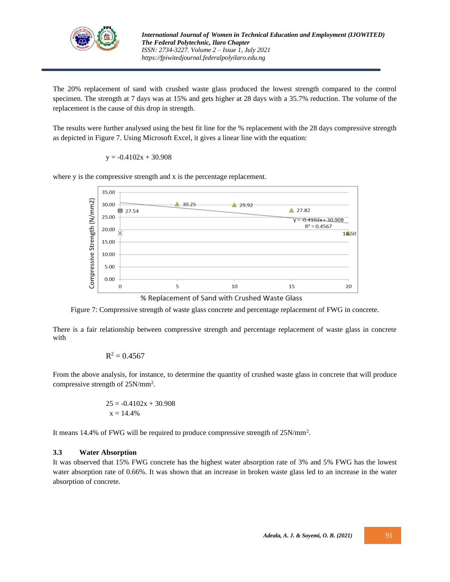

The 20% replacement of sand with crushed waste glass produced the lowest strength compared to the control specimen. The strength at 7 days was at 15% and gets higher at 28 days with a 35.7% reduction. The volume of the replacement is the cause of this drop in strength.

The results were further analysed using the best fit line for the % replacement with the 28 days compressive strength as depicted in Figure 7. Using Microsoft Excel, it gives a linear line with the equation:

 $y = -0.4102x + 30.908$ 



where y is the compressive strength and x is the percentage replacement.

Figure 7: Compressive strength of waste glass concrete and percentage replacement of FWG in concrete.

There is a fair relationship between compressive strength and percentage replacement of waste glass in concrete with

$$
R^2=0.4567
$$

From the above analysis, for instance, to determine the quantity of crushed waste glass in concrete that will produce compressive strength of 25N/mm<sup>2</sup> .

$$
25 = -0.4102x + 30.908
$$

$$
x = 14.4\%
$$

It means 14.4% of FWG will be required to produce compressive strength of  $25N/mm^2$ .

#### **3.3 Water Absorption**

It was observed that 15% FWG concrete has the highest water absorption rate of 3% and 5% FWG has the lowest water absorption rate of 0.66%. It was shown that an increase in broken waste glass led to an increase in the water absorption of concrete.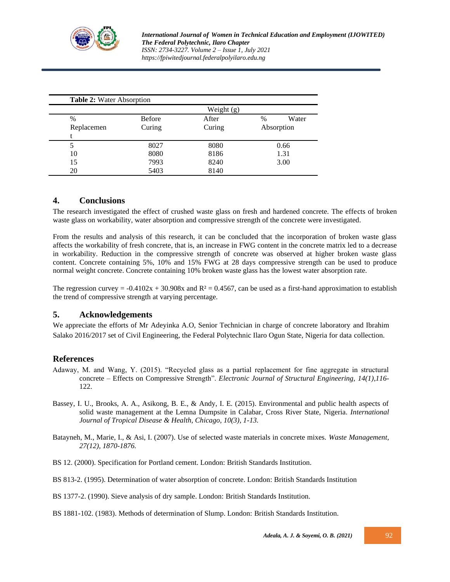

*International Journal of Women in Technical Education and Employment (IJOWITED) The Federal Polytechnic, Ilaro Chapter ISSN: 2734-3227. Volume 2 – Issue 1, July 2021 https://fpiwitedjournal.federalpolyilaro.edu.ng*

|            | Table 2: Water Absorption |        |               |  |  |  |
|------------|---------------------------|--------|---------------|--|--|--|
|            | Weight (g)                |        |               |  |  |  |
| %          | <b>Before</b>             | After  | Water<br>$\%$ |  |  |  |
| Replacemen | Curing                    | Curing | Absorption    |  |  |  |
|            |                           |        |               |  |  |  |
| 5          | 8027                      | 8080   | 0.66          |  |  |  |
| 10         | 8080                      | 8186   | 1.31          |  |  |  |
| 15         | 7993                      | 8240   | 3.00          |  |  |  |
| 20         | 5403                      | 8140   |               |  |  |  |

## **4. Conclusions**

The research investigated the effect of crushed waste glass on fresh and hardened concrete. The effects of broken waste glass on workability, water absorption and compressive strength of the concrete were investigated.

From the results and analysis of this research, it can be concluded that the incorporation of broken waste glass affects the workability of fresh concrete, that is, an increase in FWG content in the concrete matrix led to a decrease in workability. Reduction in the compressive strength of concrete was observed at higher broken waste glass content. Concrete containing 5%, 10% and 15% FWG at 28 days compressive strength can be used to produce normal weight concrete. Concrete containing 10% broken waste glass has the lowest water absorption rate.

The regression curvey =  $-0.4102x + 30.908x$  and R<sup>2</sup> = 0.4567, can be used as a first-hand approximation to establish the trend of compressive strength at varying percentage.

## **5. Acknowledgements**

We appreciate the efforts of Mr Adeyinka A.O, Senior Technician in charge of concrete laboratory and Ibrahim Salako 2016/2017 set of Civil Engineering, the Federal Polytechnic Ilaro Ogun State, Nigeria for data collection.

## **References**

- Adaway, M. and Wang, Y. (2015). "Recycled glass as a partial replacement for fine aggregate in structural concrete – Effects on Compressive Strength". *Electronic Journal of Structural Engineering, 14(1),116-* 122.
- Bassey, I. U., Brooks, A. A., Asikong, B. E., & Andy, I. E. (2015). Environmental and public health aspects of solid waste management at the Lemna Dumpsite in Calabar, Cross River State, Nigeria. *International Journal of Tropical Disease & Health, Chicago, 10(3), 1-13.*
- Batayneh, M., Marie, I., & Asi, I. (2007). Use of selected waste materials in concrete mixes. *Waste Management, 27(12), 1870-1876.*
- BS 12. (2000). Specification for Portland cement. London: British Standards Institution.
- BS 813-2. (1995). Determination of water absorption of concrete. London: British Standards Institution
- BS 1377-2. (1990). Sieve analysis of dry sample. London: British Standards Institution.
- BS 1881-102. (1983). Methods of determination of Slump. London: British Standards Institution.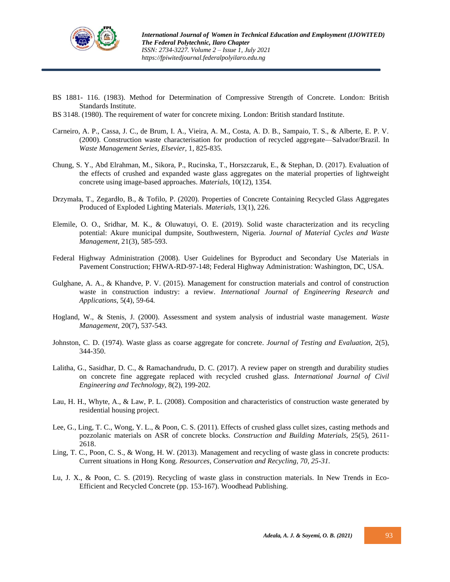

- BS 1881- 116. (1983). Method for Determination of Compressive Strength of Concrete. London: British Standards Institute.
- BS 3148. (1980). The requirement of water for concrete mixing. London: British standard Institute.
- Carneiro, A. P., Cassa, J. C., de Brum, I. A., Vieira, A. M., Costa, A. D. B., Sampaio, T. S., & Alberte, E. P. V. (2000). Construction waste characterisation for production of recycled aggregate—Salvador/Brazil. In *Waste Management Series, Elsevier,* 1, 825-835*.*
- Chung, S. Y., Abd Elrahman, M., Sikora, P., Rucinska, T., Horszczaruk, E., & Stephan, D. (2017). Evaluation of the effects of crushed and expanded waste glass aggregates on the material properties of lightweight concrete using image-based approaches. *Materials,* 10(12), 1354.
- Drzymała, T., Zegardło, B., & Tofilo, P. (2020). Properties of Concrete Containing Recycled Glass Aggregates Produced of Exploded Lighting Materials. *Materials,* 13(1), 226*.*
- Elemile, O. O., Sridhar, M. K., & Oluwatuyi, O. E. (2019). Solid waste characterization and its recycling potential: Akure municipal dumpsite, Southwestern, Nigeria. *Journal of Material Cycles and Waste Management*, 21(3), 585-593.
- Federal Highway Administration (2008). User Guidelines for Byproduct and Secondary Use Materials in Pavement Construction; FHWA-RD-97-148; Federal Highway Administration: Washington, DC, USA.
- Gulghane, A. A., & Khandve, P. V. (2015). Management for construction materials and control of construction waste in construction industry: a review. *International Journal of Engineering Research and Applications,* 5(4), 59-64*.*
- Hogland, W., & Stenis, J. (2000). Assessment and system analysis of industrial waste management. *Waste Management,* 20(7), 537-543*.*
- Johnston, C. D. (1974). Waste glass as coarse aggregate for concrete. *Journal of Testing and Evaluation,* 2(5), 344-350.
- Lalitha, G., Sasidhar, D. C., & Ramachandrudu, D. C. (2017). A review paper on strength and durability studies on concrete fine aggregate replaced with recycled crushed glass. *International Journal of Civil Engineering and Technology,* 8(2), 199-202*.*
- Lau, H. H., Whyte, A., & Law, P. L. (2008). Composition and characteristics of construction waste generated by residential housing project.
- Lee, G., Ling, T. C., Wong, Y. L., & Poon, C. S. (2011). Effects of crushed glass cullet sizes, casting methods and pozzolanic materials on ASR of concrete blocks. *Construction and Building Materials,* 25(5), 2611- 2618.
- Ling, T. C., Poon, C. S., & Wong, H. W. (2013). Management and recycling of waste glass in concrete products: Current situations in Hong Kong. *Resources, Conservation and Recycling, 70, 25-31.*
- Lu, J. X., & Poon, C. S. (2019). Recycling of waste glass in construction materials. In New Trends in Eco-Efficient and Recycled Concrete (pp. 153-167). Woodhead Publishing.